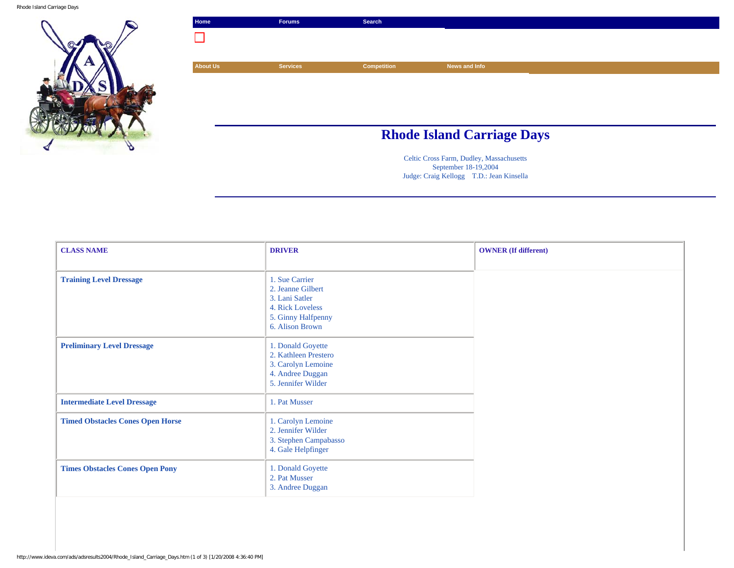Rhode Island Carriage Days





Celtic Cross Farm, Dudley, Massachusetts September 18-19,2004 Judge: Craig Kellogg T.D.: Jean Kinsella

| <b>CLASS NAME</b>                       | <b>DRIVER</b>                                                                                                      | <b>OWNER</b> (If different) |
|-----------------------------------------|--------------------------------------------------------------------------------------------------------------------|-----------------------------|
|                                         |                                                                                                                    |                             |
| <b>Training Level Dressage</b>          | 1. Sue Carrier<br>2. Jeanne Gilbert<br>3. Lani Satler<br>4. Rick Loveless<br>5. Ginny Halfpenny<br>6. Alison Brown |                             |
| <b>Preliminary Level Dressage</b>       | 1. Donald Goyette<br>2. Kathleen Prestero<br>3. Carolyn Lemoine<br>4. Andree Duggan<br>5. Jennifer Wilder          |                             |
| <b>Intermediate Level Dressage</b>      | 1. Pat Musser                                                                                                      |                             |
| <b>Timed Obstacles Cones Open Horse</b> | 1. Carolyn Lemoine<br>2. Jennifer Wilder<br>3. Stephen Campabasso<br>4. Gale Helpfinger                            |                             |
| <b>Times Obstacles Cones Open Pony</b>  | 1. Donald Goyette<br>2. Pat Musser<br>3. Andree Duggan                                                             |                             |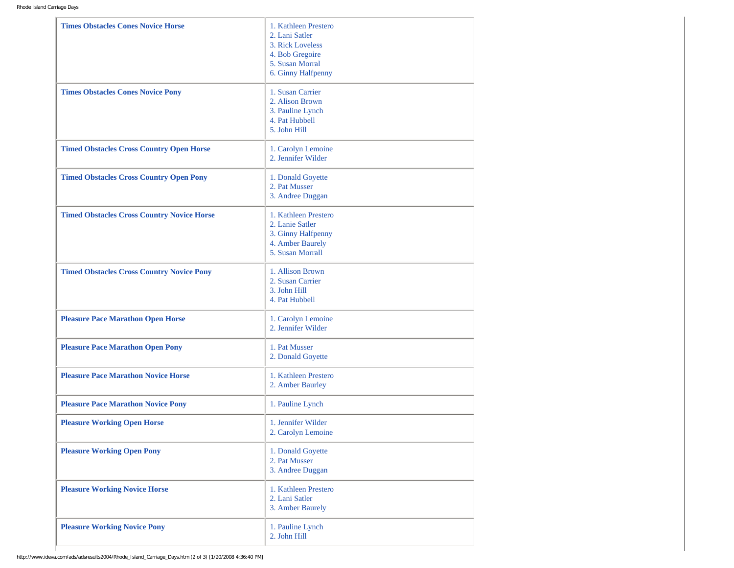| <b>Times Obstacles Cones Novice Horse</b>         | 1. Kathleen Prestero<br>2. Lani Satler<br>3. Rick Loveless<br>4. Bob Gregoire<br>5. Susan Morral<br>6. Ginny Halfpenny |
|---------------------------------------------------|------------------------------------------------------------------------------------------------------------------------|
| <b>Times Obstacles Cones Novice Pony</b>          | 1. Susan Carrier<br>2. Alison Brown<br>3. Pauline Lynch<br>4. Pat Hubbell<br>5. John Hill                              |
| <b>Timed Obstacles Cross Country Open Horse</b>   | 1. Carolyn Lemoine<br>2. Jennifer Wilder                                                                               |
| <b>Timed Obstacles Cross Country Open Pony</b>    | 1. Donald Goyette<br>2. Pat Musser<br>3. Andree Duggan                                                                 |
| <b>Timed Obstacles Cross Country Novice Horse</b> | 1. Kathleen Prestero<br>2. Lanie Satler<br>3. Ginny Halfpenny<br>4. Amber Baurely<br>5. Susan Morrall                  |
| <b>Timed Obstacles Cross Country Novice Pony</b>  | 1. Allison Brown<br>2. Susan Carrier<br>3. John Hill<br>4. Pat Hubbell                                                 |
| <b>Pleasure Pace Marathon Open Horse</b>          | 1. Carolyn Lemoine<br>2. Jennifer Wilder                                                                               |
| <b>Pleasure Pace Marathon Open Pony</b>           | 1. Pat Musser<br>2. Donald Goyette                                                                                     |
| <b>Pleasure Pace Marathon Novice Horse</b>        | 1. Kathleen Prestero<br>2. Amber Baurley                                                                               |
| <b>Pleasure Pace Marathon Novice Pony</b>         | 1. Pauline Lynch                                                                                                       |
| <b>Pleasure Working Open Horse</b>                | 1. Jennifer Wilder<br>2. Carolyn Lemoine                                                                               |
| <b>Pleasure Working Open Pony</b>                 | 1. Donald Goyette<br>2. Pat Musser<br>3. Andree Duggan                                                                 |
| <b>Pleasure Working Novice Horse</b>              | 1. Kathleen Prestero<br>2. Lani Satler<br>3. Amber Baurely                                                             |
| <b>Pleasure Working Novice Pony</b>               | 1. Pauline Lynch<br>2. John Hill                                                                                       |